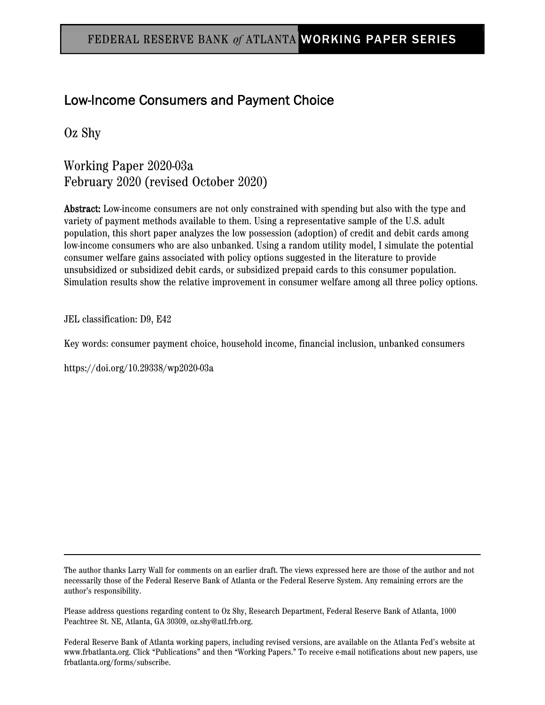# Low-Income Consumers and Payment Choice

Oz Shy

Working Paper 2020-03a February 2020 (revised October 2020)

Abstract: Low-income consumers are not only constrained with spending but also with the type and variety of payment methods available to them. Using a representative sample of the U.S. adult population, this short paper analyzes the low possession (adoption) of credit and debit cards among low-income consumers who are also unbanked. Using a random utility model, I simulate the potential consumer welfare gains associated with policy options suggested in the literature to provide unsubsidized or subsidized debit cards, or subsidized prepaid cards to this consumer population. Simulation results show the relative improvement in consumer welfare among all three policy options.

JEL classification: D9, E42

Key words: consumer payment choice, household income, financial inclusion, unbanked consumers

https://doi.org/10.29338/wp2020-03a

The author thanks Larry Wall for comments on an earlier draft. The views expressed here are those of the author and not necessarily those of the Federal Reserve Bank of Atlanta or the Federal Reserve System. Any remaining errors are the author's responsibility.

Please address questions regarding content to Oz Shy, Research Department, Federal Reserve Bank of Atlanta, 1000 Peachtree St. NE, Atlanta, GA 30309, oz.shy@atl.frb.org.

Federal Reserve Bank of Atlanta working papers, including revised versions, are available on the Atlanta Fed's website at www.frbatlanta.org. Click "Publications" and then "Working Papers." To receive e-mail notifications about new papers, use frbatlanta.org/forms/subscribe.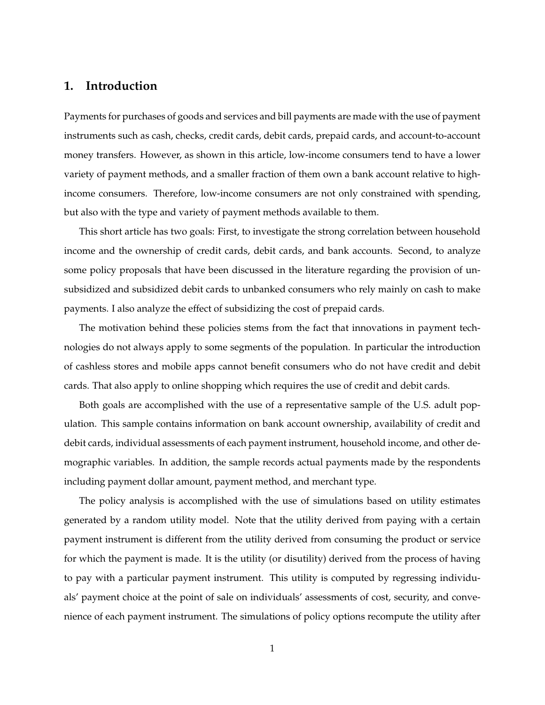### **1. Introduction**

Payments for purchases of goods and services and bill payments are made with the use of payment instruments such as cash, checks, credit cards, debit cards, prepaid cards, and account-to-account money transfers. However, as shown in this article, low-income consumers tend to have a lower variety of payment methods, and a smaller fraction of them own a bank account relative to highincome consumers. Therefore, low-income consumers are not only constrained with spending, but also with the type and variety of payment methods available to them.

This short article has two goals: First, to investigate the strong correlation between household income and the ownership of credit cards, debit cards, and bank accounts. Second, to analyze some policy proposals that have been discussed in the literature regarding the provision of unsubsidized and subsidized debit cards to unbanked consumers who rely mainly on cash to make payments. I also analyze the effect of subsidizing the cost of prepaid cards.

The motivation behind these policies stems from the fact that innovations in payment technologies do not always apply to some segments of the population. In particular the introduction of cashless stores and mobile apps cannot benefit consumers who do not have credit and debit cards. That also apply to online shopping which requires the use of credit and debit cards.

Both goals are accomplished with the use of a representative sample of the U.S. adult population. This sample contains information on bank account ownership, availability of credit and debit cards, individual assessments of each payment instrument, household income, and other demographic variables. In addition, the sample records actual payments made by the respondents including payment dollar amount, payment method, and merchant type.

The policy analysis is accomplished with the use of simulations based on utility estimates generated by a random utility model. Note that the utility derived from paying with a certain payment instrument is different from the utility derived from consuming the product or service for which the payment is made. It is the utility (or disutility) derived from the process of having to pay with a particular payment instrument. This utility is computed by regressing individuals' payment choice at the point of sale on individuals' assessments of cost, security, and convenience of each payment instrument. The simulations of policy options recompute the utility after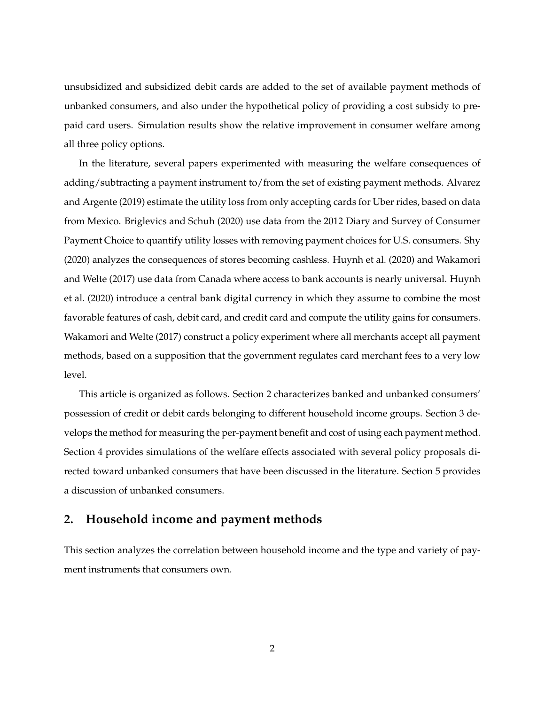unsubsidized and subsidized debit cards are added to the set of available payment methods of unbanked consumers, and also under the hypothetical policy of providing a cost subsidy to prepaid card users. Simulation results show the relative improvement in consumer welfare among all three policy options.

In the literature, several papers experimented with measuring the welfare consequences of adding/subtracting a payment instrument to/from the set of existing payment methods. [Alvarez](#page-14-0) [and Argente](#page-14-0) [\(2019\)](#page-14-0) estimate the utility loss from only accepting cards for Uber rides, based on data from Mexico. [Briglevics and Schuh](#page-15-0) [\(2020\)](#page-15-0) use data from the 2012 Diary and Survey of Consumer Payment Choice to quantify utility losses with removing payment choices for U.S. consumers. [Shy](#page-16-0) [\(2020\)](#page-16-0) analyzes the consequences of stores becoming cashless. [Huynh et al.](#page-15-1) [\(2020\)](#page-15-1) and [Wakamori](#page-16-1) [and Welte](#page-16-1) [\(2017\)](#page-16-1) use data from Canada where access to bank accounts is nearly universal. [Huynh](#page-15-1) [et al.](#page-15-1) [\(2020\)](#page-15-1) introduce a central bank digital currency in which they assume to combine the most favorable features of cash, debit card, and credit card and compute the utility gains for consumers. [Wakamori and Welte](#page-16-1) [\(2017\)](#page-16-1) construct a policy experiment where all merchants accept all payment methods, based on a supposition that the government regulates card merchant fees to a very low level.

This article is organized as follows. Section [2](#page-2-0) characterizes banked and unbanked consumers' possession of credit or debit cards belonging to different household income groups. Section [3](#page-5-0) develops the method for measuring the per-payment benefit and cost of using each payment method. Section [4](#page-8-0) provides simulations of the welfare effects associated with several policy proposals directed toward unbanked consumers that have been discussed in the literature. Section [5](#page-13-0) provides a discussion of unbanked consumers.

# <span id="page-2-0"></span>**2. Household income and payment methods**

This section analyzes the correlation between household income and the type and variety of payment instruments that consumers own.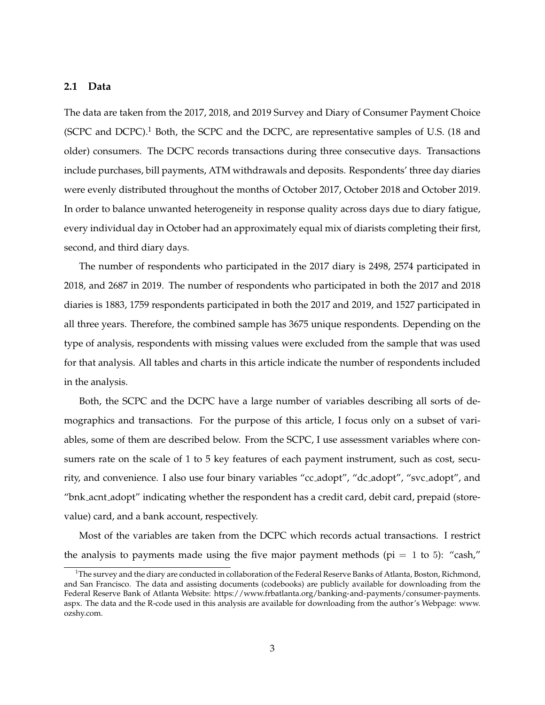#### **2.1 Data**

The data are taken from the 2017, 2018, and 2019 Survey and Diary of Consumer Payment Choice (SCPC and DCPC). $1$  Both, the SCPC and the DCPC, are representative samples of U.S. (18 and older) consumers. The DCPC records transactions during three consecutive days. Transactions include purchases, bill payments, ATM withdrawals and deposits. Respondents' three day diaries were evenly distributed throughout the months of October 2017, October 2018 and October 2019. In order to balance unwanted heterogeneity in response quality across days due to diary fatigue, every individual day in October had an approximately equal mix of diarists completing their first, second, and third diary days.

The number of respondents who participated in the 2017 diary is 2498, 2574 participated in 2018, and 2687 in 2019. The number of respondents who participated in both the 2017 and 2018 diaries is 1883, 1759 respondents participated in both the 2017 and 2019, and 1527 participated in all three years. Therefore, the combined sample has 3675 unique respondents. Depending on the type of analysis, respondents with missing values were excluded from the sample that was used for that analysis. All tables and charts in this article indicate the number of respondents included in the analysis.

Both, the SCPC and the DCPC have a large number of variables describing all sorts of demographics and transactions. For the purpose of this article, I focus only on a subset of variables, some of them are described below. From the SCPC, I use assessment variables where consumers rate on the scale of 1 to 5 key features of each payment instrument, such as cost, security, and convenience. I also use four binary variables "cc adopt", "dc adopt", "svc adopt", and "bnk acnt adopt" indicating whether the respondent has a credit card, debit card, prepaid (storevalue) card, and a bank account, respectively.

Most of the variables are taken from the DCPC which records actual transactions. I restrict the analysis to payments made using the five major payment methods ( $pi = 1$  to 5): "cash,"

<span id="page-3-0"></span> $1$ The survey and the diary are conducted in collaboration of the Federal Reserve Banks of Atlanta, Boston, Richmond, and San Francisco. The data and assisting documents (codebooks) are publicly available for downloading from the Federal Reserve Bank of Atlanta Website: [https://www.frbatlanta.org/banking-and-payments/consumer-payments.](https://www.frbatlanta.org/banking-and-payments/consumer-payments.aspx) [aspx.](https://www.frbatlanta.org/banking-and-payments/consumer-payments.aspx) The data and the R-code used in this analysis are available for downloading from the author's Webpage: [www.](www.ozshy.com) [ozshy.com.](www.ozshy.com)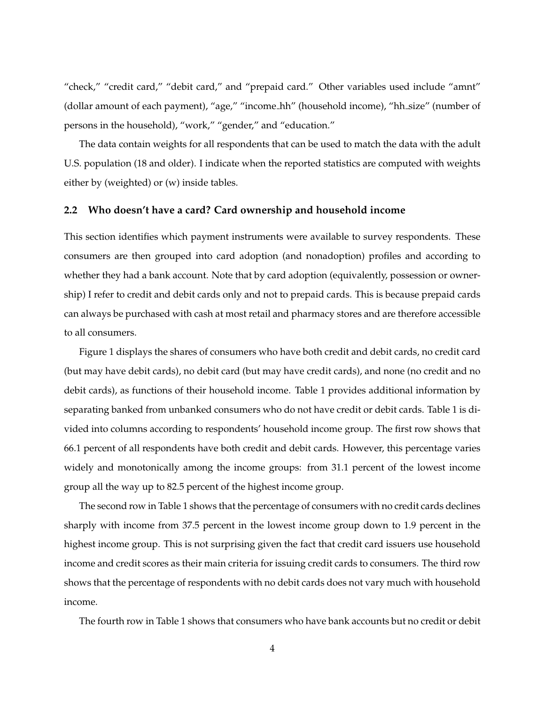"check," "credit card," "debit card," and "prepaid card." Other variables used include "amnt" (dollar amount of each payment), "age," "income hh" (household income), "hh size" (number of persons in the household), "work," "gender," and "education."

The data contain weights for all respondents that can be used to match the data with the adult U.S. population (18 and older). I indicate when the reported statistics are computed with weights either by (weighted) or (w) inside tables.

### **2.2 Who doesn't have a card? Card ownership and household income**

This section identifies which payment instruments were available to survey respondents. These consumers are then grouped into card adoption (and nonadoption) profiles and according to whether they had a bank account. Note that by card adoption (equivalently, possession or ownership) I refer to credit and debit cards only and not to prepaid cards. This is because prepaid cards can always be purchased with cash at most retail and pharmacy stores and are therefore accessible to all consumers.

Figure [1](#page-19-0) displays the shares of consumers who have both credit and debit cards, no credit card (but may have debit cards), no debit card (but may have credit cards), and none (no credit and no debit cards), as functions of their household income. Table [1](#page-17-0) provides additional information by separating banked from unbanked consumers who do not have credit or debit cards. Table [1](#page-17-0) is divided into columns according to respondents' household income group. The first row shows that 66.1 percent of all respondents have both credit and debit cards. However, this percentage varies widely and monotonically among the income groups: from 31.1 percent of the lowest income group all the way up to 82.5 percent of the highest income group.

The second row in Table [1](#page-17-0) shows that the percentage of consumers with no credit cards declines sharply with income from 37.5 percent in the lowest income group down to 1.9 percent in the highest income group. This is not surprising given the fact that credit card issuers use household income and credit scores as their main criteria for issuing credit cards to consumers. The third row shows that the percentage of respondents with no debit cards does not vary much with household income.

The fourth row in Table [1](#page-17-0) shows that consumers who have bank accounts but no credit or debit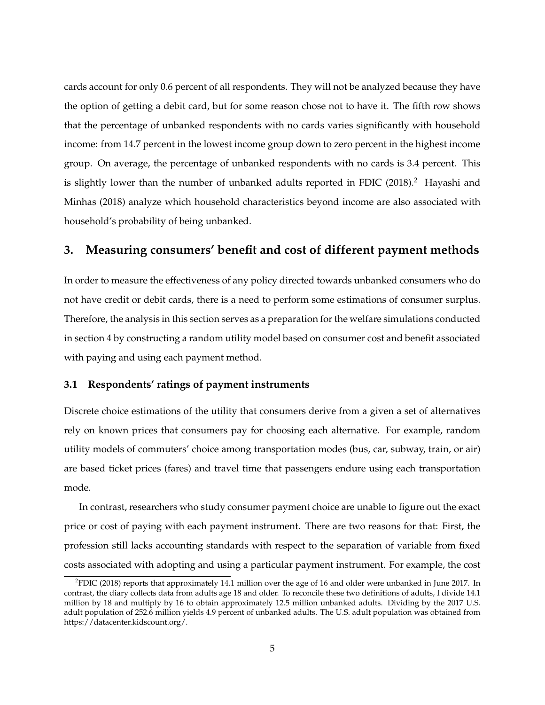cards account for only 0.6 percent of all respondents. They will not be analyzed because they have the option of getting a debit card, but for some reason chose not to have it. The fifth row shows that the percentage of unbanked respondents with no cards varies significantly with household income: from 14.7 percent in the lowest income group down to zero percent in the highest income group. On average, the percentage of unbanked respondents with no cards is 3.4 percent. This is slightly lower than the number of unbanked adults reported in [FDIC](#page-15-2)  $(2018)^2$  $(2018)^2$  $(2018)^2$ . [Hayashi and](#page-15-3) [Minhas](#page-15-3) [\(2018\)](#page-15-3) analyze which household characteristics beyond income are also associated with household's probability of being unbanked.

# <span id="page-5-0"></span>**3. Measuring consumers' benefit and cost of different payment methods**

In order to measure the effectiveness of any policy directed towards unbanked consumers who do not have credit or debit cards, there is a need to perform some estimations of consumer surplus. Therefore, the analysis in this section serves as a preparation for the welfare simulations conducted in section [4](#page-8-0) by constructing a random utility model based on consumer cost and benefit associated with paying and using each payment method.

#### **3.1 Respondents' ratings of payment instruments**

Discrete choice estimations of the utility that consumers derive from a given a set of alternatives rely on known prices that consumers pay for choosing each alternative. For example, random utility models of commuters' choice among transportation modes (bus, car, subway, train, or air) are based ticket prices (fares) and travel time that passengers endure using each transportation mode.

In contrast, researchers who study consumer payment choice are unable to figure out the exact price or cost of paying with each payment instrument. There are two reasons for that: First, the profession still lacks accounting standards with respect to the separation of variable from fixed costs associated with adopting and using a particular payment instrument. For example, the cost

<span id="page-5-1"></span><sup>2</sup> [FDIC](#page-15-2) [\(2018\)](#page-15-2) reports that approximately 14.1 million over the age of 16 and older were unbanked in June 2017. In contrast, the diary collects data from adults age 18 and older. To reconcile these two definitions of adults, I divide 14.1 million by 18 and multiply by 16 to obtain approximately 12.5 million unbanked adults. Dividing by the 2017 U.S. adult population of 252.6 million yields 4.9 percent of unbanked adults. The U.S. adult population was obtained from [https://datacenter.kidscount.org/.](https://datacenter.kidscount.org/)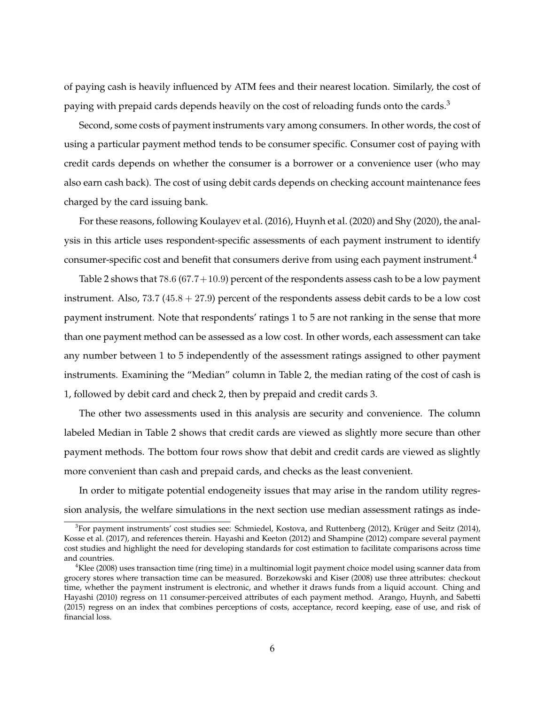of paying cash is heavily influenced by ATM fees and their nearest location. Similarly, the cost of paying with prepaid cards depends heavily on the cost of reloading funds onto the cards.<sup>[3](#page-6-0)</sup>

Second, some costs of payment instruments vary among consumers. In other words, the cost of using a particular payment method tends to be consumer specific. Consumer cost of paying with credit cards depends on whether the consumer is a borrower or a convenience user (who may also earn cash back). The cost of using debit cards depends on checking account maintenance fees charged by the card issuing bank.

For these reasons, following [Koulayev et al.](#page-16-2) [\(2016\)](#page-16-2), [Huynh et al.](#page-15-1) [\(2020\)](#page-15-1) and [Shy](#page-16-0) [\(2020\)](#page-16-0), the analysis in this article uses respondent-specific assessments of each payment instrument to identify consumer-specific cost and benefit that consumers derive from using each payment instrument.[4](#page-6-1)

Table [2](#page-18-0) shows that 78.6 (67.7+10.9) percent of the respondents assess cash to be a low payment instrument. Also,  $73.7$  ( $45.8 + 27.9$ ) percent of the respondents assess debit cards to be a low cost payment instrument. Note that respondents' ratings 1 to 5 are not ranking in the sense that more than one payment method can be assessed as a low cost. In other words, each assessment can take any number between 1 to 5 independently of the assessment ratings assigned to other payment instruments. Examining the "Median" column in Table [2,](#page-18-0) the median rating of the cost of cash is 1, followed by debit card and check 2, then by prepaid and credit cards 3.

The other two assessments used in this analysis are security and convenience. The column labeled Median in Table [2](#page-18-0) shows that credit cards are viewed as slightly more secure than other payment methods. The bottom four rows show that debit and credit cards are viewed as slightly more convenient than cash and prepaid cards, and checks as the least convenient.

In order to mitigate potential endogeneity issues that may arise in the random utility regression analysis, the welfare simulations in the next section use median assessment ratings as inde-

<span id="page-6-0"></span> ${}^{3}$ For payment instruments' cost studies see: [Schmiedel, Kostova, and Ruttenberg](#page-16-3) [\(2012\)](#page-16-3), Krüger and Seitz [\(2014\)](#page-16-4), [Kosse et al.](#page-15-4) [\(2017\)](#page-15-4), and references therein. [Hayashi and Keeton](#page-15-5) [\(2012\)](#page-15-5) and [Shampine](#page-16-5) [\(2012\)](#page-16-5) compare several payment cost studies and highlight the need for developing standards for cost estimation to facilitate comparisons across time and countries.

<span id="page-6-1"></span> $4$ [Klee](#page-15-6) [\(2008\)](#page-15-6) uses transaction time (ring time) in a multinomial logit payment choice model using scanner data from grocery stores where transaction time can be measured. [Borzekowski and Kiser](#page-15-7) [\(2008\)](#page-15-7) use three attributes: checkout time, whether the payment instrument is electronic, and whether it draws funds from a liquid account. [Ching and](#page-15-8) [Hayashi](#page-15-8) [\(2010\)](#page-15-8) regress on 11 consumer-perceived attributes of each payment method. [Arango, Huynh, and Sabetti](#page-14-1) [\(2015\)](#page-14-1) regress on an index that combines perceptions of costs, acceptance, record keeping, ease of use, and risk of financial loss.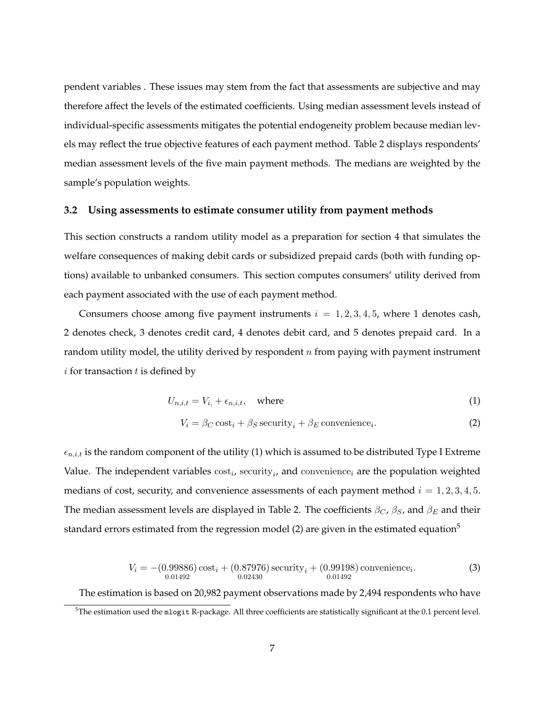pendent variables . These issues may stem from the fact that assessments are subjective and may therefore affect the levels of the estimated coefficients. Using median assessment levels instead of individual-specific assessments mitigates the potential endogeneity problem because median levels may reflect the true objective features of each payment method. Table [2](#page-18-0) displays respondents' median assessment levels of the five main payment methods. The medians are weighted by the sample's population weights.

#### **3.2 Using assessments to estimate consumer utility from payment methods**

This section constructs a random utility model as a preparation for section [4](#page-8-0) that simulates the welfare consequences of making debit cards or subsidized prepaid cards (both with funding options) available to unbanked consumers. This section computes consumers' utility derived from each payment associated with the use of each payment method.

Consumers choose among five payment instruments  $i = 1, 2, 3, 4, 5$ , where 1 denotes cash, 2 denotes check, 3 denotes credit card, 4 denotes debit card, and 5 denotes prepaid card. In a random utility model, the utility derived by respondent  $n$  from paying with payment instrument  $i$  for transaction  $t$  is defined by

$$
U_{n,i,t} = V_{i,} + \epsilon_{n,i,t}, \quad \text{where} \tag{1}
$$

<span id="page-7-1"></span><span id="page-7-0"></span>
$$
V_i = \beta_C \cos t_i + \beta_S \, \text{security}_i + \beta_E \, \text{convenience}_i. \tag{2}
$$

 $\epsilon_{n,i,t}$  is the random component of the utility [\(1\)](#page-7-0) which is assumed to be distributed Type I Extreme Value. The independent variables  $\text{cost}_i$ , security<sub>i</sub>, and convenience<sub>i</sub> are the population weighted medians of cost, security, and convenience assessments of each payment method  $i = 1, 2, 3, 4, 5$ . The median assessment levels are displayed in Table [2.](#page-18-0) The coefficients  $\beta_C$ ,  $\beta_S$ , and  $\beta_E$  and their standard errors estimated from the regression model [\(2\)](#page-7-1) are given in the estimated equation<sup>[5](#page-7-2)</sup>

$$
V_i = -(0.99886) \cos t_i + (0.87976) \sec \text{urity}_i + (0.99198) \text{ convenience}_i.
$$
  
(3)  
<sub>0.01492</sub>

<span id="page-7-3"></span>The estimation is based on 20,982 payment observations made by 2,494 respondents who have

<span id="page-7-2"></span> $5$ The estimation used the mlogit R-package. All three coefficients are statistically significant at the 0.1 percent level.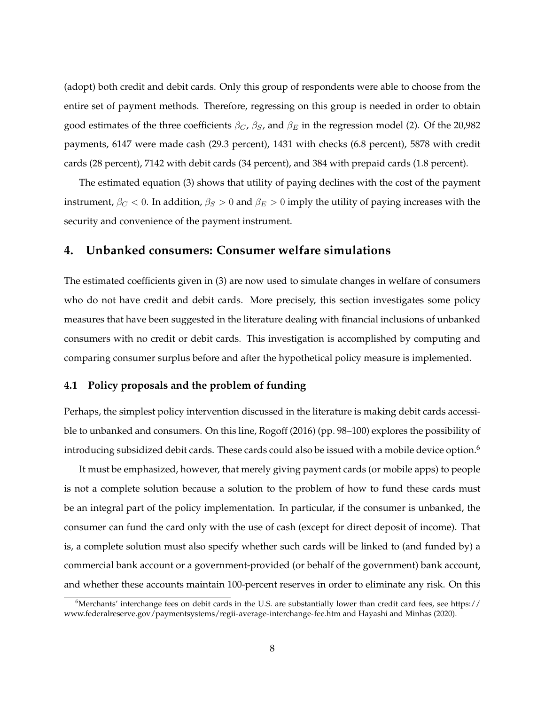(adopt) both credit and debit cards. Only this group of respondents were able to choose from the entire set of payment methods. Therefore, regressing on this group is needed in order to obtain good estimates of the three coefficients  $\beta_C$ ,  $\beta_S$ , and  $\beta_E$  in the regression model [\(2\)](#page-7-1). Of the 20,982 payments, 6147 were made cash (29.3 percent), 1431 with checks (6.8 percent), 5878 with credit cards (28 percent), 7142 with debit cards (34 percent), and 384 with prepaid cards (1.8 percent).

The estimated equation [\(3\)](#page-7-3) shows that utility of paying declines with the cost of the payment instrument,  $\beta_C < 0$ . In addition,  $\beta_S > 0$  and  $\beta_E > 0$  imply the utility of paying increases with the security and convenience of the payment instrument.

# <span id="page-8-0"></span>**4. Unbanked consumers: Consumer welfare simulations**

The estimated coefficients given in [\(3\)](#page-7-3) are now used to simulate changes in welfare of consumers who do not have credit and debit cards. More precisely, this section investigates some policy measures that have been suggested in the literature dealing with financial inclusions of unbanked consumers with no credit or debit cards. This investigation is accomplished by computing and comparing consumer surplus before and after the hypothetical policy measure is implemented.

#### **4.1 Policy proposals and the problem of funding**

Perhaps, the simplest policy intervention discussed in the literature is making debit cards accessible to unbanked and consumers. On this line, [Rogoff](#page-16-6) [\(2016\)](#page-16-6) (pp. 98–100) explores the possibility of introducing subsidized debit cards. These cards could also be issued with a mobile device option.<sup>[6](#page-8-1)</sup>

It must be emphasized, however, that merely giving payment cards (or mobile apps) to people is not a complete solution because a solution to the problem of how to fund these cards must be an integral part of the policy implementation. In particular, if the consumer is unbanked, the consumer can fund the card only with the use of cash (except for direct deposit of income). That is, a complete solution must also specify whether such cards will be linked to (and funded by) a commercial bank account or a government-provided (or behalf of the government) bank account, and whether these accounts maintain 100-percent reserves in order to eliminate any risk. On this

<span id="page-8-1"></span><sup>&</sup>lt;sup>6</sup>Merchants' interchange fees on debit cards in the U.S. are substantially lower than credit card fees, see [https://](https://www.federalreserve.gov/paymentsystems/regii-average-interchange-fee.htm) [www.federalreserve.gov/paymentsystems/regii-average-interchange-fee.htm](https://www.federalreserve.gov/paymentsystems/regii-average-interchange-fee.htm) and [Hayashi and Minhas](#page-15-9) [\(2020\)](#page-15-9).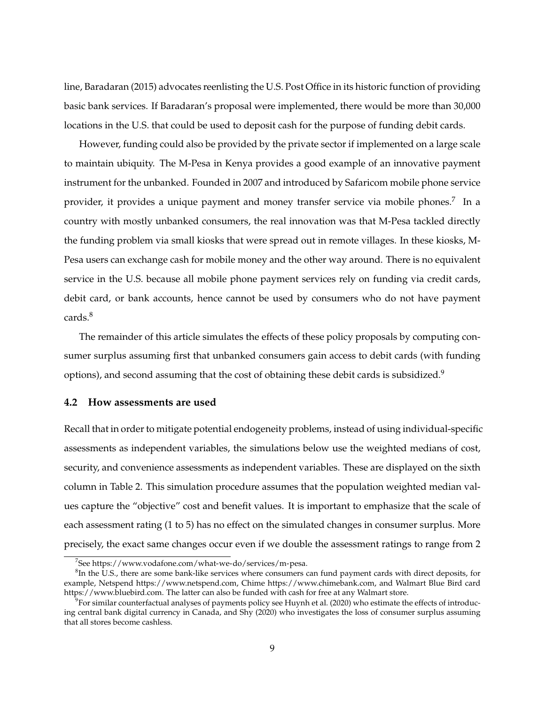line, [Baradaran](#page-15-10) [\(2015\)](#page-15-10) advocates reenlisting the U.S. Post Office in its historic function of providing basic bank services. If Baradaran's proposal were implemented, there would be more than 30,000 locations in the U.S. that could be used to deposit cash for the purpose of funding debit cards.

However, funding could also be provided by the private sector if implemented on a large scale to maintain ubiquity. The M-Pesa in Kenya provides a good example of an innovative payment instrument for the unbanked. Founded in 2007 and introduced by Safaricom mobile phone service provider, it provides a unique payment and money transfer service via mobile phones.<sup>[7](#page-9-0)</sup> In a country with mostly unbanked consumers, the real innovation was that M-Pesa tackled directly the funding problem via small kiosks that were spread out in remote villages. In these kiosks, M-Pesa users can exchange cash for mobile money and the other way around. There is no equivalent service in the U.S. because all mobile phone payment services rely on funding via credit cards, debit card, or bank accounts, hence cannot be used by consumers who do not have payment cards.[8](#page-9-1)

The remainder of this article simulates the effects of these policy proposals by computing consumer surplus assuming first that unbanked consumers gain access to debit cards (with funding options), and second assuming that the cost of obtaining these debit cards is subsidized.<sup>[9](#page-9-2)</sup>

### **4.2 How assessments are used**

Recall that in order to mitigate potential endogeneity problems, instead of using individual-specific assessments as independent variables, the simulations below use the weighted medians of cost, security, and convenience assessments as independent variables. These are displayed on the sixth column in Table [2.](#page-18-0) This simulation procedure assumes that the population weighted median values capture the "objective" cost and benefit values. It is important to emphasize that the scale of each assessment rating (1 to 5) has no effect on the simulated changes in consumer surplus. More precisely, the exact same changes occur even if we double the assessment ratings to range from 2

<span id="page-9-1"></span><span id="page-9-0"></span><sup>7</sup> See [https://www.vodafone.com/what-we-do/services/m-pesa.](https://www.vodafone.com/what-we-do/services/m-pesa)

 ${}^{8}$ In the U.S., there are some bank-like services where consumers can fund payment cards with direct deposits, for example, Netspend [https://www.netspend.com,](https://www.netspend.com) Chime [https://www.chimebank.com,](https://www.chimebank.com) and Walmart Blue Bird card [https://www.bluebird.com.](https://www.bluebird.com) The latter can also be funded with cash for free at any Walmart store.

<span id="page-9-2"></span> $^9$ For similar counterfactual analyses of payments policy see [Huynh et al.](#page-15-1) [\(2020\)](#page-15-1) who estimate the effects of introducing central bank digital currency in Canada, and [Shy](#page-16-0) [\(2020\)](#page-16-0) who investigates the loss of consumer surplus assuming that all stores become cashless.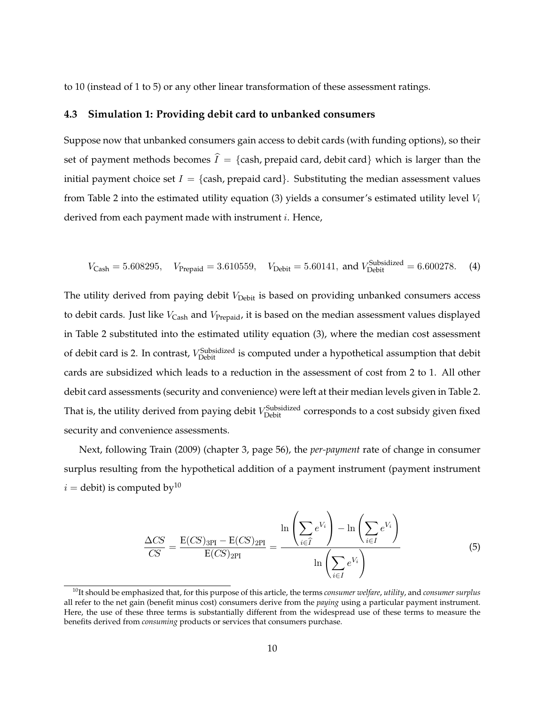to 10 (instead of 1 to 5) or any other linear transformation of these assessment ratings.

### **4.3 Simulation 1: Providing debit card to unbanked consumers**

Suppose now that unbanked consumers gain access to debit cards (with funding options), so their set of payment methods becomes  $\hat{I} = \{$ cash, prepaid card, debit card $\}$  which is larger than the initial payment choice set  $I = \{cash, prepaid card\}$ . Substituting the median assessment values from Table [2](#page-18-0) into the estimated utility equation [\(3\)](#page-7-3) yields a consumer's estimated utility level  $V_i$ derived from each payment made with instrument *i*. Hence,

<span id="page-10-2"></span>
$$
V_{\text{Cash}} = 5.608295
$$
,  $V_{\text{Prepaid}} = 3.610559$ ,  $V_{\text{Debit}} = 5.60141$ , and  $V_{\text{Debit}}^{\text{Subsidized}} = 6.600278$ . (4)

The utility derived from paying debit  $V_{\text{Debit}}$  is based on providing unbanked consumers access to debit cards. Just like  $V_{\text{Cash}}$  and  $V_{\text{Prepaid}}$ , it is based on the median assessment values displayed in Table [2](#page-18-0) substituted into the estimated utility equation [\(3\)](#page-7-3), where the median cost assessment of debit card is 2. In contrast,  $V_{\text{Debit}}^{\text{Subsidized}}$  is computed under a hypothetical assumption that debit cards are subsidized which leads to a reduction in the assessment of cost from 2 to 1. All other debit card assessments (security and convenience) were left at their median levels given in Table [2.](#page-18-0) That is, the utility derived from paying debit  $V_{\rm Debit}^{\rm Subsidized}$  corresponds to a cost subsidy given fixed security and convenience assessments.

<span id="page-10-1"></span>Next, following [Train](#page-16-7) [\(2009\)](#page-16-7) (chapter 3, page 56), the *per-payment* rate of change in consumer surplus resulting from the hypothetical addition of a payment instrument (payment instrument  $i =$  debit) is computed by<sup>[10](#page-10-0)</sup>

$$
\frac{\Delta CS}{CS} = \frac{E(CS)_{3PI} - E(CS)_{2PI}}{E(CS)_{2PI}} = \frac{\ln\left(\sum_{i \in \hat{I}} e^{V_i}\right) - \ln\left(\sum_{i \in I} e^{V_i}\right)}{\ln\left(\sum_{i \in I} e^{V_i}\right)}
$$
(5)

<span id="page-10-0"></span><sup>10</sup>It should be emphasized that, for this purpose of this article, the terms *consumer welfare*, *utility*, and *consumer surplus* all refer to the net gain (benefit minus cost) consumers derive from the *paying* using a particular payment instrument. Here, the use of these three terms is substantially different from the widespread use of these terms to measure the benefits derived from *consuming* products or services that consumers purchase.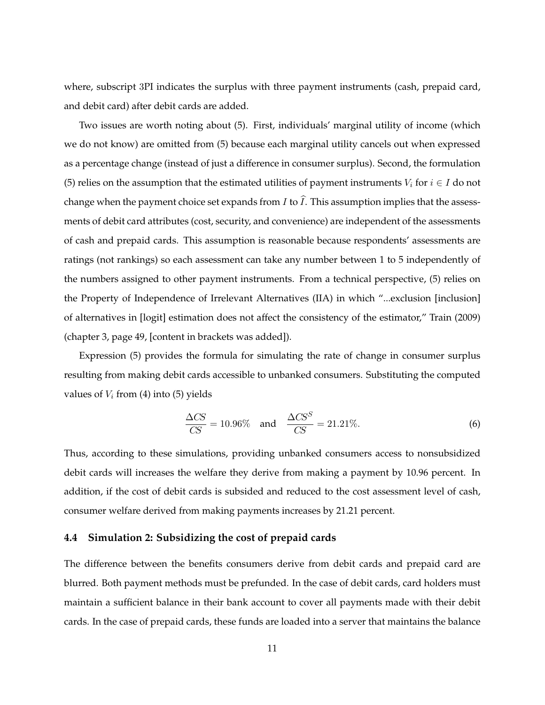where, subscript 3PI indicates the surplus with three payment instruments (cash, prepaid card, and debit card) after debit cards are added.

Two issues are worth noting about [\(5\)](#page-10-1). First, individuals' marginal utility of income (which we do not know) are omitted from [\(5\)](#page-10-1) because each marginal utility cancels out when expressed as a percentage change (instead of just a difference in consumer surplus). Second, the formulation [\(5\)](#page-10-1) relies on the assumption that the estimated utilities of payment instruments  $V_i$  for  $i \in I$  do not change when the payment choice set expands from I to  $\hat{I}$ . This assumption implies that the assessments of debit card attributes (cost, security, and convenience) are independent of the assessments of cash and prepaid cards. This assumption is reasonable because respondents' assessments are ratings (not rankings) so each assessment can take any number between 1 to 5 independently of the numbers assigned to other payment instruments. From a technical perspective, [\(5\)](#page-10-1) relies on the Property of Independence of Irrelevant Alternatives (IIA) in which "...exclusion [inclusion] of alternatives in [logit] estimation does not affect the consistency of the estimator," [Train](#page-16-7) [\(2009\)](#page-16-7) (chapter 3, page 49, [content in brackets was added]).

Expression [\(5\)](#page-10-1) provides the formula for simulating the rate of change in consumer surplus resulting from making debit cards accessible to unbanked consumers. Substituting the computed values of  $V_i$  from [\(4\)](#page-10-2) into [\(5\)](#page-10-1) yields

<span id="page-11-0"></span>
$$
\frac{\Delta CS}{CS} = 10.96\% \quad \text{and} \quad \frac{\Delta CS^S}{CS} = 21.21\%.\tag{6}
$$

Thus, according to these simulations, providing unbanked consumers access to nonsubsidized debit cards will increases the welfare they derive from making a payment by 10.96 percent. In addition, if the cost of debit cards is subsided and reduced to the cost assessment level of cash, consumer welfare derived from making payments increases by 21.21 percent.

### **4.4 Simulation 2: Subsidizing the cost of prepaid cards**

The difference between the benefits consumers derive from debit cards and prepaid card are blurred. Both payment methods must be prefunded. In the case of debit cards, card holders must maintain a sufficient balance in their bank account to cover all payments made with their debit cards. In the case of prepaid cards, these funds are loaded into a server that maintains the balance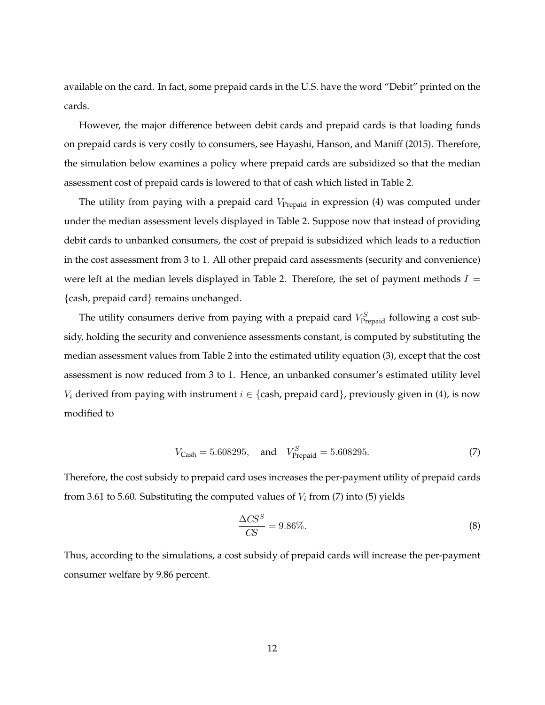available on the card. In fact, some prepaid cards in the U.S. have the word "Debit" printed on the cards.

However, the major difference between debit cards and prepaid cards is that loading funds on prepaid cards is very costly to consumers, see [Hayashi, Hanson, and Maniff](#page-15-11) [\(2015\)](#page-15-11). Therefore, the simulation below examines a policy where prepaid cards are subsidized so that the median assessment cost of prepaid cards is lowered to that of cash which listed in Table [2.](#page-18-0)

The utility from paying with a prepaid card  $V_{Prepaid}$  in expression [\(4\)](#page-10-2) was computed under under the median assessment levels displayed in Table [2.](#page-18-0) Suppose now that instead of providing debit cards to unbanked consumers, the cost of prepaid is subsidized which leads to a reduction in the cost assessment from 3 to 1. All other prepaid card assessments (security and convenience) were left at the median levels displayed in Table [2.](#page-18-0) Therefore, the set of payment methods  $I =$ {cash, prepaid card} remains unchanged.

The utility consumers derive from paying with a prepaid card  $V_{\text{Prepaid}}^S$  following a cost subsidy, holding the security and convenience assessments constant, is computed by substituting the median assessment values from Table [2](#page-18-0) into the estimated utility equation [\(3\)](#page-7-3), except that the cost assessment is now reduced from 3 to 1. Hence, an unbanked consumer's estimated utility level  $V_i$  derived from paying with instrument  $i \in \{$ cash, prepaid card $\}$ , previously given in [\(4\)](#page-10-2), is now modified to

$$
V_{\text{Cash}} = 5.608295, \quad \text{and} \quad V_{\text{Prepaid}}^{S} = 5.608295. \tag{7}
$$

<span id="page-12-0"></span>Therefore, the cost subsidy to prepaid card uses increases the per-payment utility of prepaid cards from 3.61 to 5.60. Substituting the computed values of  $V_i$  from [\(7\)](#page-12-0) into [\(5\)](#page-10-1) yields

<span id="page-12-1"></span>
$$
\frac{\Delta CS^S}{CS} = 9.86\%.\tag{8}
$$

Thus, according to the simulations, a cost subsidy of prepaid cards will increase the per-payment consumer welfare by 9.86 percent.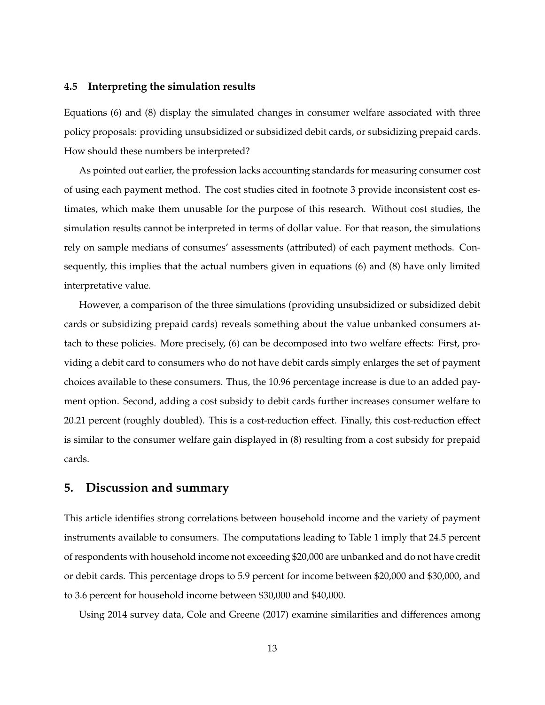#### **4.5 Interpreting the simulation results**

Equations [\(6\)](#page-11-0) and [\(8\)](#page-12-1) display the simulated changes in consumer welfare associated with three policy proposals: providing unsubsidized or subsidized debit cards, or subsidizing prepaid cards. How should these numbers be interpreted?

As pointed out earlier, the profession lacks accounting standards for measuring consumer cost of using each payment method. The cost studies cited in footnote [3](#page-6-0) provide inconsistent cost estimates, which make them unusable for the purpose of this research. Without cost studies, the simulation results cannot be interpreted in terms of dollar value. For that reason, the simulations rely on sample medians of consumes' assessments (attributed) of each payment methods. Consequently, this implies that the actual numbers given in equations [\(6\)](#page-11-0) and [\(8\)](#page-12-1) have only limited interpretative value.

However, a comparison of the three simulations (providing unsubsidized or subsidized debit cards or subsidizing prepaid cards) reveals something about the value unbanked consumers attach to these policies. More precisely, [\(6\)](#page-11-0) can be decomposed into two welfare effects: First, providing a debit card to consumers who do not have debit cards simply enlarges the set of payment choices available to these consumers. Thus, the 10.96 percentage increase is due to an added payment option. Second, adding a cost subsidy to debit cards further increases consumer welfare to 20.21 percent (roughly doubled). This is a cost-reduction effect. Finally, this cost-reduction effect is similar to the consumer welfare gain displayed in [\(8\)](#page-12-1) resulting from a cost subsidy for prepaid cards.

### <span id="page-13-0"></span>**5. Discussion and summary**

This article identifies strong correlations between household income and the variety of payment instruments available to consumers. The computations leading to Table [1](#page-17-0) imply that 24.5 percent of respondents with household income not exceeding \$20,000 are unbanked and do not have credit or debit cards. This percentage drops to 5.9 percent for income between \$20,000 and \$30,000, and to 3.6 percent for household income between \$30,000 and \$40,000.

Using 2014 survey data, [Cole and Greene](#page-15-12) [\(2017\)](#page-15-12) examine similarities and differences among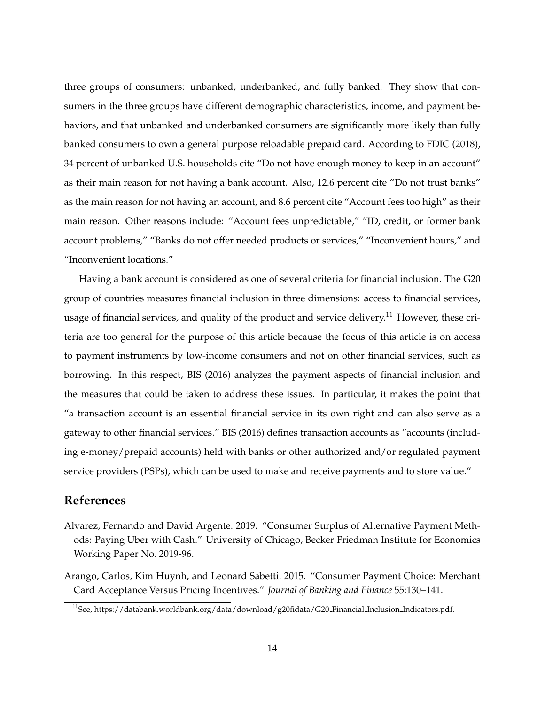three groups of consumers: unbanked, underbanked, and fully banked. They show that consumers in the three groups have different demographic characteristics, income, and payment behaviors, and that unbanked and underbanked consumers are significantly more likely than fully banked consumers to own a general purpose reloadable prepaid card. According to [FDIC](#page-15-2) [\(2018\)](#page-15-2), 34 percent of unbanked U.S. households cite "Do not have enough money to keep in an account" as their main reason for not having a bank account. Also, 12.6 percent cite "Do not trust banks" as the main reason for not having an account, and 8.6 percent cite "Account fees too high" as their main reason. Other reasons include: "Account fees unpredictable," "ID, credit, or former bank account problems," "Banks do not offer needed products or services," "Inconvenient hours," and "Inconvenient locations."

Having a bank account is considered as one of several criteria for financial inclusion. The G20 group of countries measures financial inclusion in three dimensions: access to financial services, usage of financial services, and quality of the product and service delivery.<sup>[11](#page-14-2)</sup> However, these criteria are too general for the purpose of this article because the focus of this article is on access to payment instruments by low-income consumers and not on other financial services, such as borrowing. In this respect, [BIS](#page-15-13) [\(2016\)](#page-15-13) analyzes the payment aspects of financial inclusion and the measures that could be taken to address these issues. In particular, it makes the point that "a transaction account is an essential financial service in its own right and can also serve as a gateway to other financial services." [BIS](#page-15-13) [\(2016\)](#page-15-13) defines transaction accounts as "accounts (including e-money/prepaid accounts) held with banks or other authorized and/or regulated payment service providers (PSPs), which can be used to make and receive payments and to store value."

# **References**

- <span id="page-14-0"></span>Alvarez, Fernando and David Argente. 2019. "Consumer Surplus of Alternative Payment Methods: Paying Uber with Cash." University of Chicago, Becker Friedman Institute for Economics Working Paper No. 2019-96.
- <span id="page-14-1"></span>Arango, Carlos, Kim Huynh, and Leonard Sabetti. 2015. "Consumer Payment Choice: Merchant Card Acceptance Versus Pricing Incentives." *Journal of Banking and Finance* 55:130–141.

<span id="page-14-2"></span><sup>&</sup>lt;sup>11</sup>See, [https://databank.worldbank.org/data/download/g20fidata/G20](https://databank.worldbank.org/data/download/g20fidata/G20_Financial_Inclusion_Indicators.pdf) Financial Inclusion Indicators.pdf.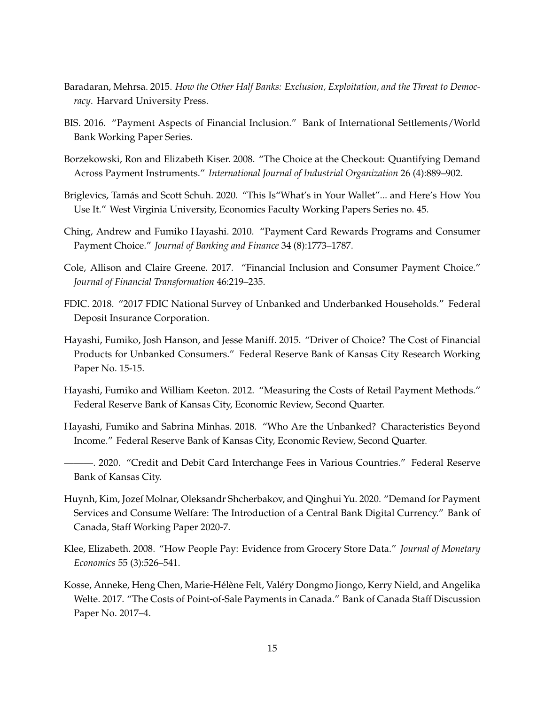- <span id="page-15-10"></span>Baradaran, Mehrsa. 2015. *How the Other Half Banks: Exclusion, Exploitation, and the Threat to Democracy*. Harvard University Press.
- <span id="page-15-13"></span>BIS. 2016. "Payment Aspects of Financial Inclusion." Bank of International Settlements/World Bank Working Paper Series.
- <span id="page-15-7"></span>Borzekowski, Ron and Elizabeth Kiser. 2008. "The Choice at the Checkout: Quantifying Demand Across Payment Instruments." *International Journal of Industrial Organization* 26 (4):889–902.
- <span id="page-15-0"></span>Briglevics, Tamás and Scott Schuh. 2020. "This Is "What's in Your Wallet"... and Here's How You Use It." West Virginia University, Economics Faculty Working Papers Series no. 45.
- <span id="page-15-8"></span>Ching, Andrew and Fumiko Hayashi. 2010. "Payment Card Rewards Programs and Consumer Payment Choice." *Journal of Banking and Finance* 34 (8):1773–1787.
- <span id="page-15-12"></span>Cole, Allison and Claire Greene. 2017. "Financial Inclusion and Consumer Payment Choice." *Journal of Financial Transformation* 46:219–235.
- <span id="page-15-2"></span>FDIC. 2018. "2017 FDIC National Survey of Unbanked and Underbanked Households." Federal Deposit Insurance Corporation.
- <span id="page-15-11"></span>Hayashi, Fumiko, Josh Hanson, and Jesse Maniff. 2015. "Driver of Choice? The Cost of Financial Products for Unbanked Consumers." Federal Reserve Bank of Kansas City Research Working Paper No. 15-15.
- <span id="page-15-5"></span>Hayashi, Fumiko and William Keeton. 2012. "Measuring the Costs of Retail Payment Methods." Federal Reserve Bank of Kansas City, Economic Review, Second Quarter.
- <span id="page-15-3"></span>Hayashi, Fumiko and Sabrina Minhas. 2018. "Who Are the Unbanked? Characteristics Beyond Income." Federal Reserve Bank of Kansas City, Economic Review, Second Quarter.
- <span id="page-15-9"></span>———. 2020. "Credit and Debit Card Interchange Fees in Various Countries." Federal Reserve Bank of Kansas City.
- <span id="page-15-1"></span>Huynh, Kim, Jozef Molnar, Oleksandr Shcherbakov, and Qinghui Yu. 2020. "Demand for Payment Services and Consume Welfare: The Introduction of a Central Bank Digital Currency." Bank of Canada, Staff Working Paper 2020-7.
- <span id="page-15-6"></span>Klee, Elizabeth. 2008. "How People Pay: Evidence from Grocery Store Data." *Journal of Monetary Economics* 55 (3):526–541.
- <span id="page-15-4"></span>Kosse, Anneke, Heng Chen, Marie-Hélène Felt, Valéry Dongmo Jiongo, Kerry Nield, and Angelika Welte. 2017. "The Costs of Point-of-Sale Payments in Canada." Bank of Canada Staff Discussion Paper No. 2017–4.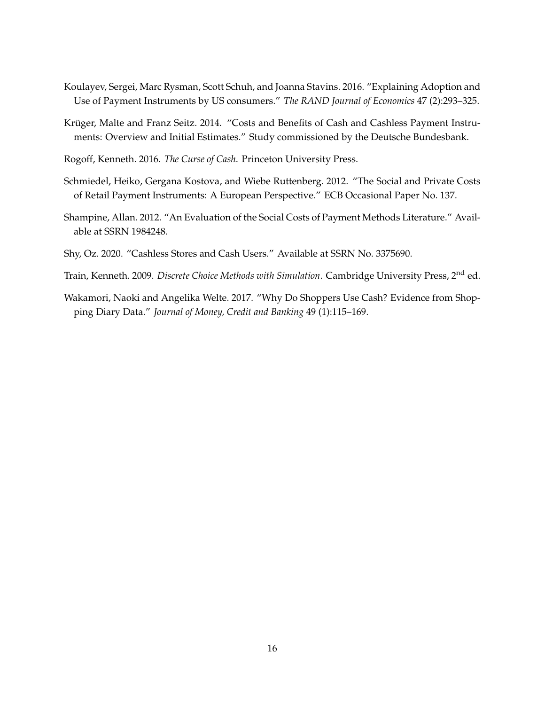- <span id="page-16-2"></span>Koulayev, Sergei, Marc Rysman, Scott Schuh, and Joanna Stavins. 2016. "Explaining Adoption and Use of Payment Instruments by US consumers." *The RAND Journal of Economics* 47 (2):293–325.
- <span id="page-16-4"></span>Krüger, Malte and Franz Seitz. 2014. "Costs and Benefits of Cash and Cashless Payment Instruments: Overview and Initial Estimates." Study commissioned by the Deutsche Bundesbank.
- <span id="page-16-6"></span>Rogoff, Kenneth. 2016. *The Curse of Cash*. Princeton University Press.
- <span id="page-16-3"></span>Schmiedel, Heiko, Gergana Kostova, and Wiebe Ruttenberg. 2012. "The Social and Private Costs of Retail Payment Instruments: A European Perspective." ECB Occasional Paper No. 137.
- <span id="page-16-5"></span>Shampine, Allan. 2012. "An Evaluation of the Social Costs of Payment Methods Literature." Available at SSRN 1984248.
- <span id="page-16-0"></span>Shy, Oz. 2020. "Cashless Stores and Cash Users." Available at SSRN No. 3375690.
- <span id="page-16-7"></span>Train, Kenneth. 2009. *Discrete Choice Methods with Simulation*. Cambridge University Press, 2nd ed.
- <span id="page-16-1"></span>Wakamori, Naoki and Angelika Welte. 2017. "Why Do Shoppers Use Cash? Evidence from Shopping Diary Data." *Journal of Money, Credit and Banking* 49 (1):115–169.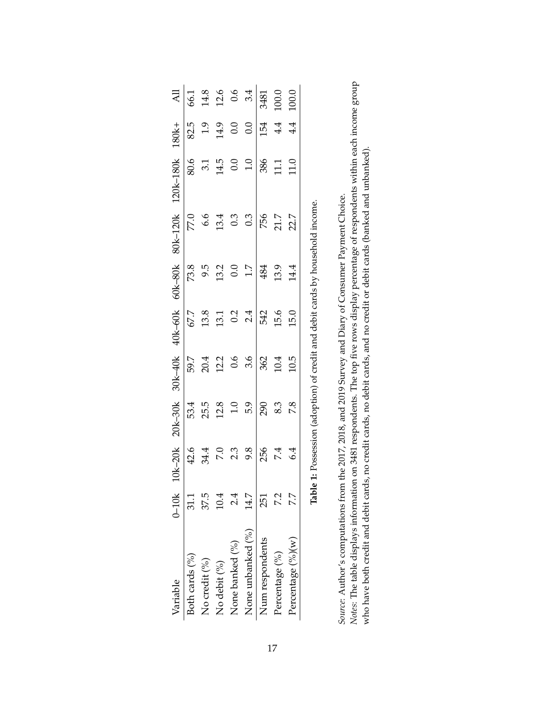<span id="page-17-0"></span>

| Variable          | $0-10k$ | $10k - 20k$             | $20k-30k$    |                     | 30k-40k 40k-60k |                                                   | 60k-80k 80k-120k                                                       | 120k-180k 180k+                     |         | $\overline{\mathsf{AL}}$           |
|-------------------|---------|-------------------------|--------------|---------------------|-----------------|---------------------------------------------------|------------------------------------------------------------------------|-------------------------------------|---------|------------------------------------|
| Both cards (%)    | 31.1    | 42.6                    | 53.4         | 59.7                | 67.7            |                                                   | 77.0                                                                   |                                     | 82.5    | 66.1                               |
| No credit (%)     | 37.5    | 34.4                    | 25.5         |                     | 13.8            | 73.8<br>9.5                                       | 6.6                                                                    |                                     | $1.9\,$ |                                    |
| No debit (%)      | 0.4     | $7.\overline{0}$<br>2.3 | 12.8         | 20.4<br>12.2<br>0.6 | 13.1            |                                                   | 13.4                                                                   | $80.6$<br>3.1<br>14.5<br>0.0<br>1.0 | 14.9    | $14.8$<br>$12.6$<br>$0.6$<br>$3.4$ |
| None banked (%)   | 24      |                         | $1.0$<br>5.9 |                     | 0.2             | $\begin{array}{c} 13.2 \\ 0.0 \\ 1.7 \end{array}$ | $0.\overline{3}$<br>0.3                                                |                                     | 0.0     |                                    |
| None unbanked (%) | 14.7    | 9.8                     |              | $\overline{3.6}$    | 2.4             |                                                   |                                                                        |                                     | 0.0     |                                    |
| Num respondents   | 251     | 256                     | 290          | 362                 | 542             | 484                                               | 756                                                                    | 386                                 | 154     | 3481                               |
| Percentage (%)    |         | 7.4                     | 8.3          | 10.4                | 15.6            | 13.9                                              | 21.7                                                                   | 11.1                                | 4.4     | 100.0                              |
| Percentage (%)(w) |         | 6.4                     | 7.8          | 10.5                | 15.0            | 14.4                                              | 22.7                                                                   | 11.0                                | 4.4     | 100.0                              |
|                   | ماطقا   |                         |              |                     |                 |                                                   | 1. Possession (adoption) of credit and debit cards by bousehold income |                                     |         |                                    |

| こころに ことに こうさん キャンター フィクナ アクチリーク 一つこう こうこう こうこう<br>l |
|-----------------------------------------------------|
|                                                     |
| ı                                                   |
| I                                                   |
|                                                     |
|                                                     |
|                                                     |
|                                                     |

Source: Author's computations from the 2017, 2018, and 2019 Survey and Diary of Consumer Payment Choice.<br>Notes: The table displays information on 3481 respondents. The top five rows display percentage of respondents within *Notes*: The table displays information on 3481 respondents. The top five rows display percentage of respondents within each income group *Source*: Author's computations from the 2017, 2018, and 2019 Survey and Diary of Consumer Payment Choice.

who have both credit and debit cards, no credit cards, no debit cards, and no credit or debit cards (banked and unbanked).

who have both credit and debit cards, no credit cards, no debit cards, and no credit or debit cards (banked and unbanked).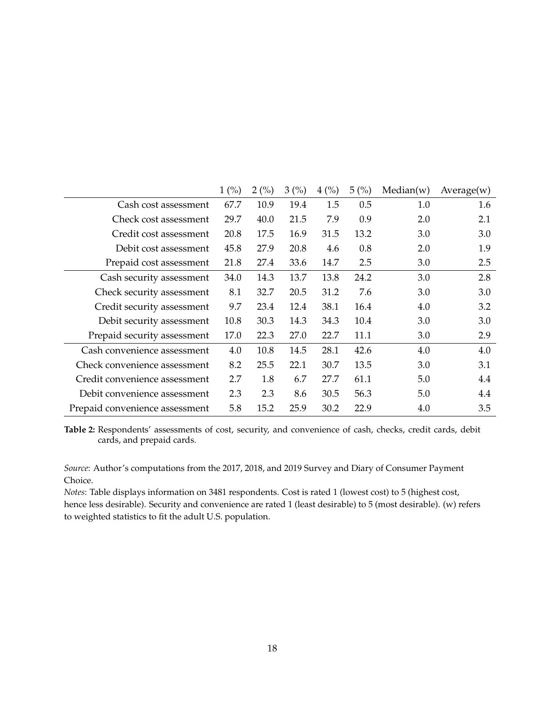<span id="page-18-0"></span>

|                                | $1\ (\%)$ | 2(%) | 3(%) | $4\frac{(\%)}{(\%)}$ | 5(%) | Median(w) | Average(w) |
|--------------------------------|-----------|------|------|----------------------|------|-----------|------------|
| Cash cost assessment           | 67.7      | 10.9 | 19.4 | 1.5                  | 0.5  | 1.0       | 1.6        |
| Check cost assessment          | 29.7      | 40.0 | 21.5 | 7.9                  | 0.9  | 2.0       | 2.1        |
| Credit cost assessment         | 20.8      | 17.5 | 16.9 | 31.5                 | 13.2 | 3.0       | 3.0        |
| Debit cost assessment          | 45.8      | 27.9 | 20.8 | 4.6                  | 0.8  | 2.0       | 1.9        |
| Prepaid cost assessment        | 21.8      | 27.4 | 33.6 | 14.7                 | 2.5  | 3.0       | 2.5        |
| Cash security assessment       | 34.0      | 14.3 | 13.7 | 13.8                 | 24.2 | 3.0       | 2.8        |
| Check security assessment      | 8.1       | 32.7 | 20.5 | 31.2                 | 7.6  | 3.0       | 3.0        |
| Credit security assessment     | 9.7       | 23.4 | 12.4 | 38.1                 | 16.4 | 4.0       | 3.2        |
| Debit security assessment      | 10.8      | 30.3 | 14.3 | 34.3                 | 10.4 | 3.0       | 3.0        |
| Prepaid security assessment    | 17.0      | 22.3 | 27.0 | 22.7                 | 11.1 | 3.0       | 2.9        |
| Cash convenience assessment    | 4.0       | 10.8 | 14.5 | 28.1                 | 42.6 | 4.0       | 4.0        |
| Check convenience assessment   | 8.2       | 25.5 | 22.1 | 30.7                 | 13.5 | 3.0       | 3.1        |
| Credit convenience assessment  | 2.7       | 1.8  | 6.7  | 27.7                 | 61.1 | 5.0       | 4.4        |
| Debit convenience assessment   | 2.3       | 2.3  | 8.6  | 30.5                 | 56.3 | 5.0       | 4.4        |
| Prepaid convenience assessment | 5.8       | 15.2 | 25.9 | 30.2                 | 22.9 | 4.0       | 3.5        |

**Table 2:** Respondents' assessments of cost, security, and convenience of cash, checks, credit cards, debit cards, and prepaid cards.

*Source*: Author's computations from the 2017, 2018, and 2019 Survey and Diary of Consumer Payment Choice.

*Notes*: Table displays information on 3481 respondents. Cost is rated 1 (lowest cost) to 5 (highest cost, hence less desirable). Security and convenience are rated 1 (least desirable) to 5 (most desirable). (w) refers to weighted statistics to fit the adult U.S. population.